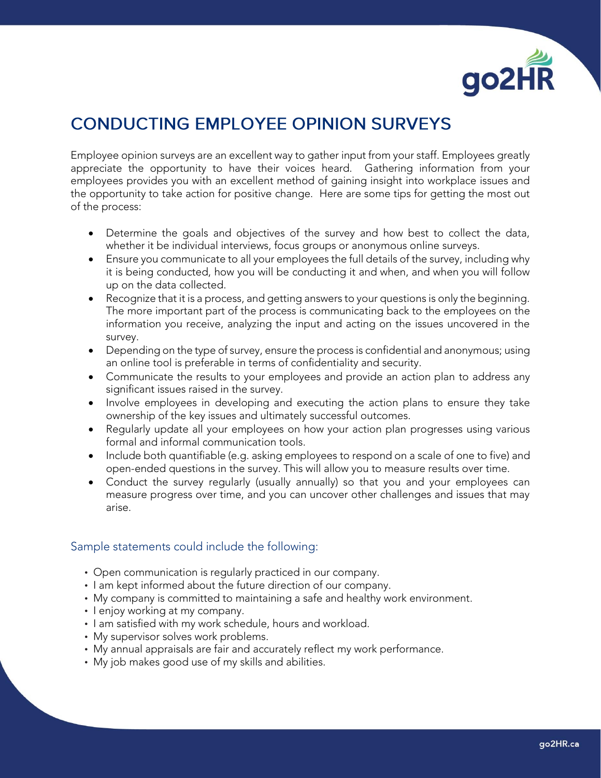

## **CONDUCTING EMPLOYEE OPINION SURVEYS**

Employee opinion surveys are an excellent way to gather input from your staff. Employees greatly appreciate the opportunity to have their voices heard. Gathering information from your employees provides you with an excellent method of gaining insight into workplace issues and the opportunity to take action for positive change. Here are some tips for getting the most out of the process:

- Determine the goals and objectives of the survey and how best to collect the data, whether it be individual interviews, focus groups or anonymous online surveys.
- Ensure you communicate to all your employees the full details of the survey, including why it is being conducted, how you will be conducting it and when, and when you will follow up on the data collected.
- Recognize that it is a process, and getting answers to your questions is only the beginning. The more important part of the process is communicating back to the employees on the information you receive, analyzing the input and acting on the issues uncovered in the survey.
- Depending on the type of survey, ensure the process is confidential and anonymous; using an online tool is preferable in terms of confidentiality and security.
- Communicate the results to your employees and provide an action plan to address any significant issues raised in the survey.
- Involve employees in developing and executing the action plans to ensure they take ownership of the key issues and ultimately successful outcomes.
- Regularly update all your employees on how your action plan progresses using various formal and informal communication tools.
- Include both quantifiable (e.g. asking employees to respond on a scale of one to five) and open-ended questions in the survey. This will allow you to measure results over time.
- Conduct the survey regularly (usually annually) so that you and your employees can measure progress over time, and you can uncover other challenges and issues that may arise.

## Sample statements could include the following:

- Open communication is regularly practiced in our company.
- I am kept informed about the future direction of our company.
- My company is committed to maintaining a safe and healthy work environment.
- I enjoy working at my company.
- I am satisfied with my work schedule, hours and workload.
- My supervisor solves work problems.
- My annual appraisals are fair and accurately reflect my work performance.
- My job makes good use of my skills and abilities.